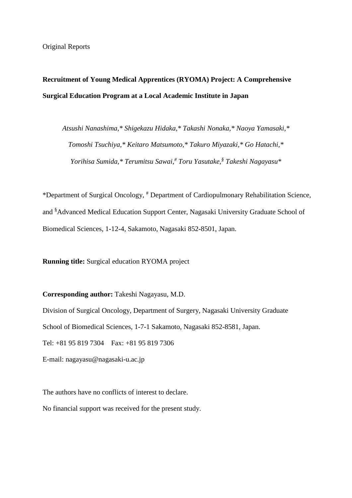### **Recruitment of Young Medical Apprentices (RYOMA) Project: A Comprehensive Surgical Education Program at a Local Academic Institute in Japan**

*Atsushi Nanashima,\* Shigekazu Hidaka,\* Takashi Nonaka,\* Naoya Yamasaki,\* Tomoshi Tsuchiya,\* Keitaro Matsumoto,\* Takuro Miyazaki,\* Go Hatachi,\* Yorihisa Sumida,\* Terumitsu Sawai,# Toru Yasutake,§ Takeshi Nagayasu\**

\*Department of Surgical Oncology, # Department of Cardiopulmonary Rehabilitation Science, and <sup>§</sup> Advanced Medical Education Support Center, Nagasaki University Graduate School of Biomedical Sciences, 1-12-4, Sakamoto, Nagasaki 852-8501, Japan.

**Running title:** Surgical education RYOMA project

**Corresponding author:** Takeshi Nagayasu, M.D.

Division of Surgical Oncology, Department of Surgery, Nagasaki University Graduate School of Biomedical Sciences, 1-7-1 Sakamoto, Nagasaki 852-8581, Japan. Tel: +81 95 819 7304 Fax: +81 95 819 7306 E-mail: nagayasu@nagasaki-u.ac.jp

The authors have no conflicts of interest to declare. No financial support was received for the present study.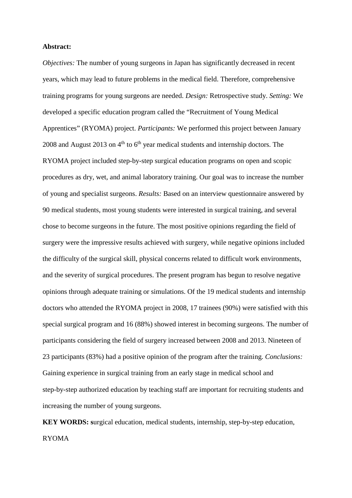#### **Abstract:**

*Objectives:* The number of young surgeons in Japan has significantly decreased in recent years, which may lead to future problems in the medical field. Therefore, comprehensive training programs for young surgeons are needed. *Design:* Retrospective study. *Setting:* We developed a specific education program called the "Recruitment of Young Medical Apprentices" (RYOMA) project. *Participants:* We performed this project between January 2008 and August 2013 on  $4<sup>th</sup>$  to  $6<sup>th</sup>$  year medical students and internship doctors. The RYOMA project included step-by-step surgical education programs on open and scopic procedures as dry, wet, and animal laboratory training. Our goal was to increase the number of young and specialist surgeons. *Results:* Based on an interview questionnaire answered by 90 medical students, most young students were interested in surgical training, and several chose to become surgeons in the future. The most positive opinions regarding the field of surgery were the impressive results achieved with surgery, while negative opinions included the difficulty of the surgical skill, physical concerns related to difficult work environments, and the severity of surgical procedures. The present program has begun to resolve negative opinions through adequate training or simulations. Of the 19 medical students and internship doctors who attended the RYOMA project in 2008, 17 trainees (90%) were satisfied with this special surgical program and 16 (88%) showed interest in becoming surgeons. The number of participants considering the field of surgery increased between 2008 and 2013. Nineteen of 23 participants (83%) had a positive opinion of the program after the training. *Conclusions:*  Gaining experience in surgical training from an early stage in medical school and step-by-step authorized education by teaching staff are important for recruiting students and increasing the number of young surgeons.

**KEY WORDS: s**urgical education, medical students, internship, step-by-step education, RYOMA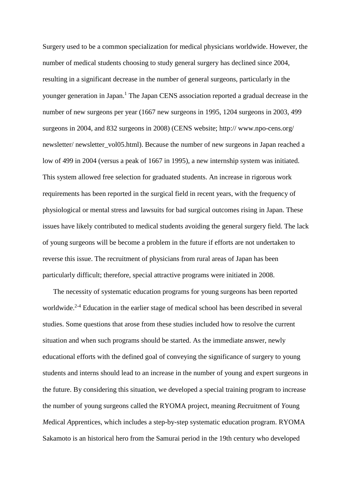Surgery used to be a common specialization for medical physicians worldwide. However, the number of medical students choosing to study general surgery has declined since 2004, resulting in a significant decrease in the number of general surgeons, particularly in the younger generation in Japan.1 The Japan CENS association reported a gradual decrease in the number of new surgeons per year (1667 new surgeons in 1995, 1204 surgeons in 2003, 499 surgeons in 2004, and 832 surgeons in 2008) (CENS website; http:// www.npo-cens.org/ newsletter/ newsletter\_vol05.html). Because the number of new surgeons in Japan reached a low of 499 in 2004 (versus a peak of 1667 in 1995), a new internship system was initiated. This system allowed free selection for graduated students. An increase in rigorous work requirements has been reported in the surgical field in recent years, with the frequency of physiological or mental stress and lawsuits for bad surgical outcomes rising in Japan. These issues have likely contributed to medical students avoiding the general surgery field. The lack of young surgeons will be become a problem in the future if efforts are not undertaken to reverse this issue. The recruitment of physicians from rural areas of Japan has been particularly difficult; therefore, special attractive programs were initiated in 2008.

 The necessity of systematic education programs for young surgeons has been reported worldwide.<sup>2-4</sup> Education in the earlier stage of medical school has been described in several studies. Some questions that arose from these studies included how to resolve the current situation and when such programs should be started. As the immediate answer, newly educational efforts with the defined goal of conveying the significance of surgery to young students and interns should lead to an increase in the number of young and expert surgeons in the future. By considering this situation, we developed a special training program to increase the number of young surgeons called the RYOMA project, meaning *R*ecruitment of *Y*oung *M*edical *A*pprentices, which includes a step-by-step systematic education program. RYOMA Sakamoto is an historical hero from the Samurai period in the 19th century who developed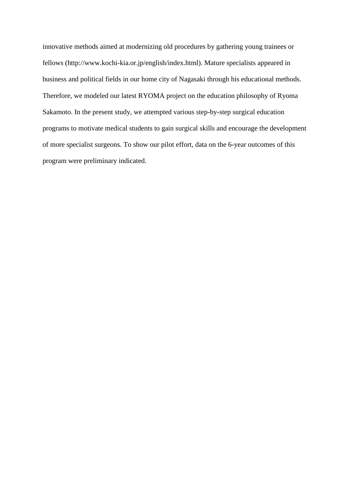innovative methods aimed at modernizing old procedures by gathering young trainees or fellows (http://www.kochi-kia.or.jp/english/index.html). Mature specialists appeared in business and political fields in our home city of Nagasaki through his educational methods. Therefore, we modeled our latest RYOMA project on the education philosophy of Ryoma Sakamoto. In the present study, we attempted various step-by-step surgical education programs to motivate medical students to gain surgical skills and encourage the development of more specialist surgeons. To show our pilot effort, data on the 6-year outcomes of this program were preliminary indicated.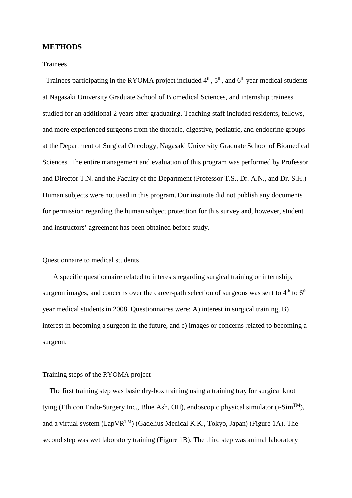#### **METHODS**

#### Trainees

Trainees participating in the RYOMA project included  $4<sup>th</sup>$ ,  $5<sup>th</sup>$ , and  $6<sup>th</sup>$  year medical students at Nagasaki University Graduate School of Biomedical Sciences, and internship trainees studied for an additional 2 years after graduating. Teaching staff included residents, fellows, and more experienced surgeons from the thoracic, digestive, pediatric, and endocrine groups at the Department of Surgical Oncology, Nagasaki University Graduate School of Biomedical Sciences. The entire management and evaluation of this program was performed by Professor and Director T.N. and the Faculty of the Department (Professor T.S., Dr. A.N., and Dr. S.H.) Human subjects were not used in this program. Our institute did not publish any documents for permission regarding the human subject protection for this survey and, however, student and instructors' agreement has been obtained before study.

#### Questionnaire to medical students

A specific questionnaire related to interests regarding surgical training or internship, surgeon images, and concerns over the career-path selection of surgeons was sent to  $4<sup>th</sup>$  to  $6<sup>th</sup>$ year medical students in 2008. Questionnaires were: A) interest in surgical training, B) interest in becoming a surgeon in the future, and c) images or concerns related to becoming a surgeon.

#### Training steps of the RYOMA project

The first training step was basic dry-box training using a training tray for surgical knot tying (Ethicon Endo-Surgery Inc., Blue Ash, OH), endoscopic physical simulator (i-Sim<sup>TM</sup>), and a virtual system  $(LapVR^{TM})$  (Gadelius Medical K.K., Tokyo, Japan) (Figure 1A). The second step was wet laboratory training (Figure 1B). The third step was animal laboratory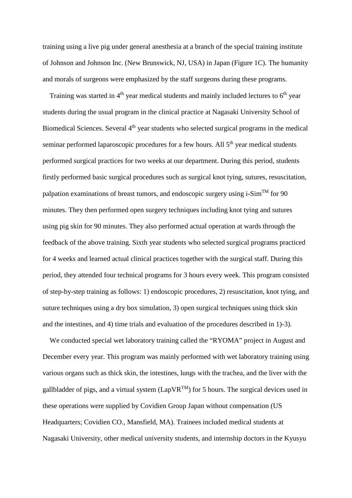training using a live pig under general anesthesia at a branch of the special training institute of Johnson and Johnson Inc. (New Brunswick, NJ, USA) in Japan (Figure 1C). The humanity and morals of surgeons were emphasized by the staff surgeons during these programs.

Training was started in  $4<sup>th</sup>$  year medical students and mainly included lectures to  $6<sup>th</sup>$  year students during the usual program in the clinical practice at Nagasaki University School of Biomedical Sciences. Several 4<sup>th</sup> year students who selected surgical programs in the medical seminar performed laparoscopic procedures for a few hours. All  $5<sup>th</sup>$  year medical students performed surgical practices for two weeks at our department. During this period, students firstly performed basic surgical procedures such as surgical knot tying, sutures, resuscitation, palpation examinations of breast tumors, and endoscopic surgery using i-Sim<sup>TM</sup> for 90 minutes. They then performed open surgery techniques including knot tying and sutures using pig skin for 90 minutes. They also performed actual operation at wards through the feedback of the above training. Sixth year students who selected surgical programs practiced for 4 weeks and learned actual clinical practices together with the surgical staff. During this period, they attended four technical programs for 3 hours every week. This program consisted of step-by-step training as follows: 1) endoscopic procedures, 2) resuscitation, knot tying, and suture techniques using a dry box simulation, 3) open surgical techniques using thick skin and the intestines, and 4) time trials and evaluation of the procedures described in 1)-3).

We conducted special wet laboratory training called the "RYOMA" project in August and December every year. This program was mainly performed with wet laboratory training using various organs such as thick skin, the intestines, lungs with the trachea, and the liver with the gallbladder of pigs, and a virtual system (LapVR<sup>TM</sup>) for 5 hours. The surgical devices used in these operations were supplied by Covidien Group Japan without compensation (US Headquarters; Covidien CO., Mansfield, MA). Trainees included medical students at Nagasaki University, other medical university students, and internship doctors in the Kyusyu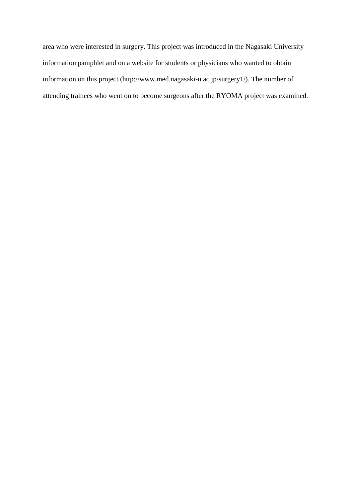area who were interested in surgery. This project was introduced in the Nagasaki University information pamphlet and on a website for students or physicians who wanted to obtain information on this project (http://www.med.nagasaki-u.ac.jp/surgery1/). The number of attending trainees who went on to become surgeons after the RYOMA project was examined.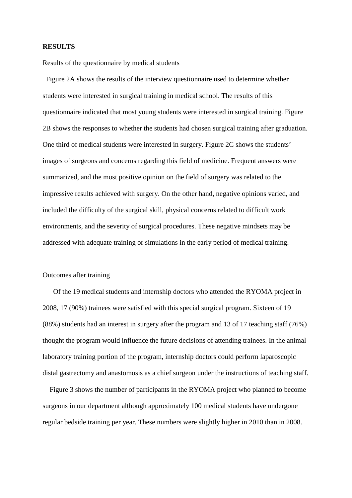#### **RESULTS**

Results of the questionnaire by medical students

Figure 2A shows the results of the interview questionnaire used to determine whether students were interested in surgical training in medical school. The results of this questionnaire indicated that most young students were interested in surgical training. Figure 2B shows the responses to whether the students had chosen surgical training after graduation. One third of medical students were interested in surgery. Figure 2C shows the students' images of surgeons and concerns regarding this field of medicine. Frequent answers were summarized, and the most positive opinion on the field of surgery was related to the impressive results achieved with surgery. On the other hand, negative opinions varied, and included the difficulty of the surgical skill, physical concerns related to difficult work environments, and the severity of surgical procedures. These negative mindsets may be addressed with adequate training or simulations in the early period of medical training.

#### Outcomes after training

 Of the 19 medical students and internship doctors who attended the RYOMA project in 2008, 17 (90%) trainees were satisfied with this special surgical program. Sixteen of 19 (88%) students had an interest in surgery after the program and 13 of 17 teaching staff (76%) thought the program would influence the future decisions of attending trainees. In the animal laboratory training portion of the program, internship doctors could perform laparoscopic distal gastrectomy and anastomosis as a chief surgeon under the instructions of teaching staff.

Figure 3 shows the number of participants in the RYOMA project who planned to become surgeons in our department although approximately 100 medical students have undergone regular bedside training per year. These numbers were slightly higher in 2010 than in 2008.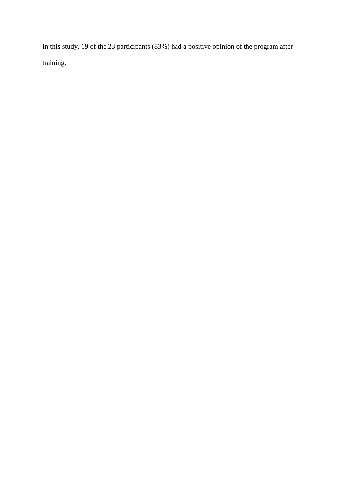In this study, 19 of the 23 participants (83%) had a positive opinion of the program after training.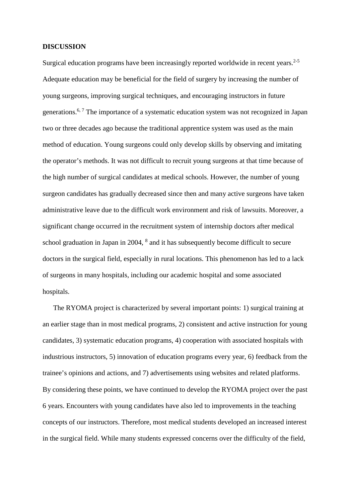#### **DISCUSSION**

Surgical education programs have been increasingly reported worldwide in recent years.<sup>2-5</sup> Adequate education may be beneficial for the field of surgery by increasing the number of young surgeons, improving surgical techniques, and encouraging instructors in future generations.<sup>6, 7</sup> The importance of a systematic education system was not recognized in Japan two or three decades ago because the traditional apprentice system was used as the main method of education. Young surgeons could only develop skills by observing and imitating the operator's methods. It was not difficult to recruit young surgeons at that time because of the high number of surgical candidates at medical schools. However, the number of young surgeon candidates has gradually decreased since then and many active surgeons have taken administrative leave due to the difficult work environment and risk of lawsuits. Moreover, a significant change occurred in the recruitment system of internship doctors after medical school graduation in Japan in 2004, <sup>8</sup> and it has subsequently become difficult to secure doctors in the surgical field, especially in rural locations. This phenomenon has led to a lack of surgeons in many hospitals, including our academic hospital and some associated hospitals.

 The RYOMA project is characterized by several important points: 1) surgical training at an earlier stage than in most medical programs, 2) consistent and active instruction for young candidates, 3) systematic education programs, 4) cooperation with associated hospitals with industrious instructors, 5) innovation of education programs every year, 6) feedback from the trainee's opinions and actions, and 7) advertisements using websites and related platforms. By considering these points, we have continued to develop the RYOMA project over the past 6 years. Encounters with young candidates have also led to improvements in the teaching concepts of our instructors. Therefore, most medical students developed an increased interest in the surgical field. While many students expressed concerns over the difficulty of the field,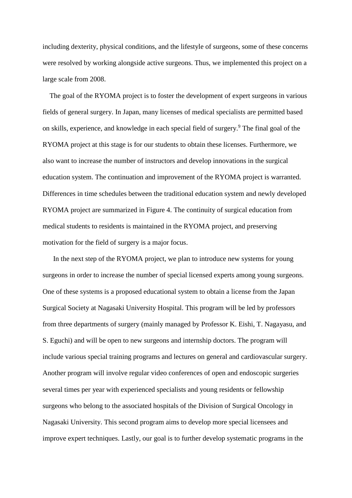including dexterity, physical conditions, and the lifestyle of surgeons, some of these concerns were resolved by working alongside active surgeons. Thus, we implemented this project on a large scale from 2008.

 The goal of the RYOMA project is to foster the development of expert surgeons in various fields of general surgery. In Japan, many licenses of medical specialists are permitted based on skills, experience, and knowledge in each special field of surgery.9 The final goal of the RYOMA project at this stage is for our students to obtain these licenses. Furthermore, we also want to increase the number of instructors and develop innovations in the surgical education system. The continuation and improvement of the RYOMA project is warranted. Differences in time schedules between the traditional education system and newly developed RYOMA project are summarized in Figure 4. The continuity of surgical education from medical students to residents is maintained in the RYOMA project, and preserving motivation for the field of surgery is a major focus.

In the next step of the RYOMA project, we plan to introduce new systems for young surgeons in order to increase the number of special licensed experts among young surgeons. One of these systems is a proposed educational system to obtain a license from the Japan Surgical Society at Nagasaki University Hospital. This program will be led by professors from three departments of surgery (mainly managed by Professor K. Eishi, T. Nagayasu, and S. Eguchi) and will be open to new surgeons and internship doctors. The program will include various special training programs and lectures on general and cardiovascular surgery. Another program will involve regular video conferences of open and endoscopic surgeries several times per year with experienced specialists and young residents or fellowship surgeons who belong to the associated hospitals of the Division of Surgical Oncology in Nagasaki University. This second program aims to develop more special licensees and improve expert techniques. Lastly, our goal is to further develop systematic programs in the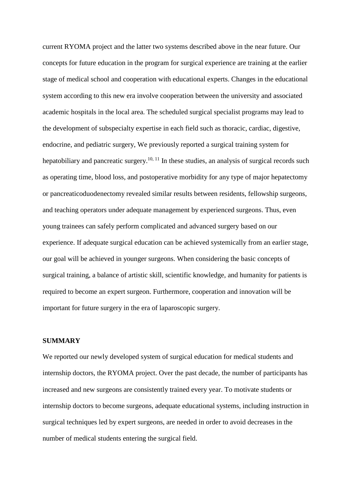current RYOMA project and the latter two systems described above in the near future. Our concepts for future education in the program for surgical experience are training at the earlier stage of medical school and cooperation with educational experts. Changes in the educational system according to this new era involve cooperation between the university and associated academic hospitals in the local area. The scheduled surgical specialist programs may lead to the development of subspecialty expertise in each field such as thoracic, cardiac, digestive, endocrine, and pediatric surgery, We previously reported a surgical training system for hepatobiliary and pancreatic surgery.<sup>10, 11</sup> In these studies, an analysis of surgical records such as operating time, blood loss, and postoperative morbidity for any type of major hepatectomy or pancreaticoduodenectomy revealed similar results between residents, fellowship surgeons, and teaching operators under adequate management by experienced surgeons. Thus, even young trainees can safely perform complicated and advanced surgery based on our experience. If adequate surgical education can be achieved systemically from an earlier stage, our goal will be achieved in younger surgeons. When considering the basic concepts of surgical training, a balance of artistic skill, scientific knowledge, and humanity for patients is required to become an expert surgeon. Furthermore, cooperation and innovation will be important for future surgery in the era of laparoscopic surgery.

#### **SUMMARY**

We reported our newly developed system of surgical education for medical students and internship doctors, the RYOMA project. Over the past decade, the number of participants has increased and new surgeons are consistently trained every year. To motivate students or internship doctors to become surgeons, adequate educational systems, including instruction in surgical techniques led by expert surgeons, are needed in order to avoid decreases in the number of medical students entering the surgical field.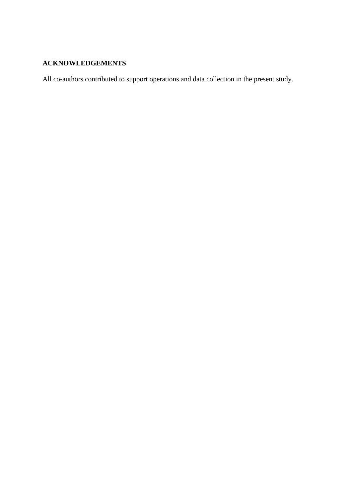### **ACKNOWLEDGEMENTS**

All co-authors contributed to support operations and data collection in the present study.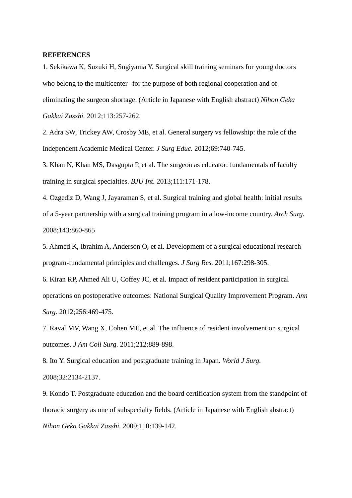#### **REFERENCES**

1. Sekikawa K, Suzuki H, Sugiyama Y. Surgical skill training seminars for young doctors who belong to the multicenter--for the purpose of both regional cooperation and of eliminating the surgeon shortage. (Article in Japanese with English abstract) *Nihon Geka Gakkai Zasshi.* 2012;113:257-262.

2. Adra SW, Trickey AW, Crosby ME, et al. General surgery vs fellowship: the role of the Independent Academic Medical Center. *J Surg Educ.* 2012;69:740-745.

3. Khan N, Khan MS, Dasgupta P, et al. The surgeon as educator: fundamentals of faculty training in surgical specialties. *BJU Int.* 2013;111:171-178.

4. Ozgediz D, Wang J, Jayaraman S, et al. Surgical training and global health: initial results of a 5-year partnership with a surgical training program in a low-income country. *Arch Surg.* 2008;143:860-865

5. Ahmed K, Ibrahim A, Anderson O, et al. Development of a surgical educational research program-fundamental principles and challenges. *J Surg Res.* 2011;167:298-305.

6. Kiran RP, Ahmed Ali U, Coffey JC, et al. Impact of resident participation in surgical operations on postoperative outcomes: National Surgical Quality Improvement Program. *Ann Surg.* 2012;256:469-475.

7. Raval MV, Wang X, Cohen ME, et al. The influence of resident involvement on surgical outcomes. *J Am Coll Surg.* 2011;212:889-898.

8. Ito Y. Surgical education and postgraduate training in Japan. *World J Surg.* 2008;32:2134-2137.

9. Kondo T. Postgraduate education and the board certification system from the standpoint of thoracic surgery as one of subspecialty fields. (Article in Japanese with English abstract) *Nihon Geka Gakkai Zasshi.* 2009;110:139-142.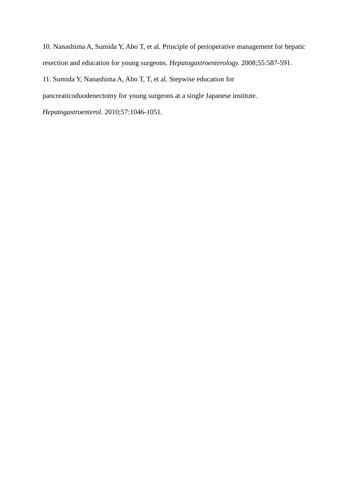10. Nanashima A, Sumida Y, Abo T, et al. Principle of perioperative management for hepatic resection and education for young surgeons. *Hepatogastroenterology.* 2008;55:587-591.

11. Sumida Y, Nanashima A, Abo T, T, et al. Stepwise education for

pancreaticoduodenectomy for young surgeons at a single Japanese institute.

*Hepatogastroenterol.* 2010;57:1046-1051.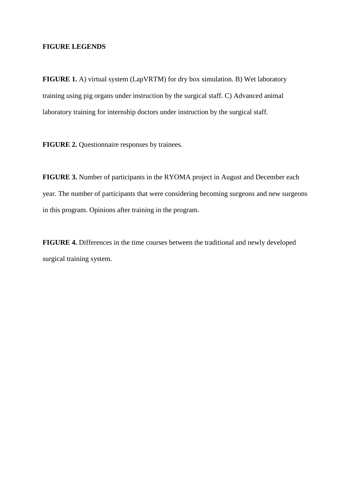#### **FIGURE LEGENDS**

**FIGURE 1.** A) virtual system (LapVRTM) for dry box simulation. B) Wet laboratory training using pig organs under instruction by the surgical staff. C) Advanced animal laboratory training for internship doctors under instruction by the surgical staff.

**FIGURE 2.** Questionnaire responses by trainees.

**FIGURE 3.** Number of participants in the RYOMA project in August and December each year. The number of participants that were considering becoming surgeons and new surgeons in this program. Opinions after training in the program.

**FIGURE 4.** Differences in the time courses between the traditional and newly developed surgical training system.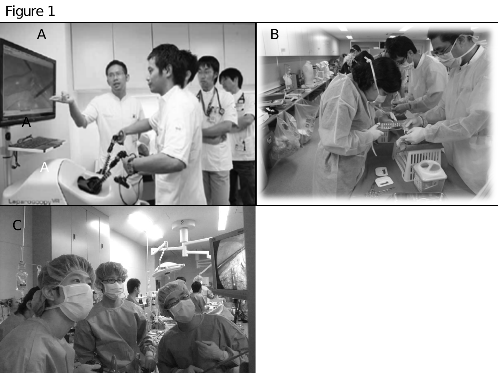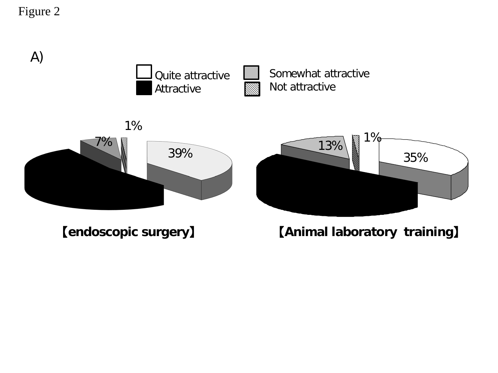

【**endoscopic surgery**】

【**Animal laboratory training**】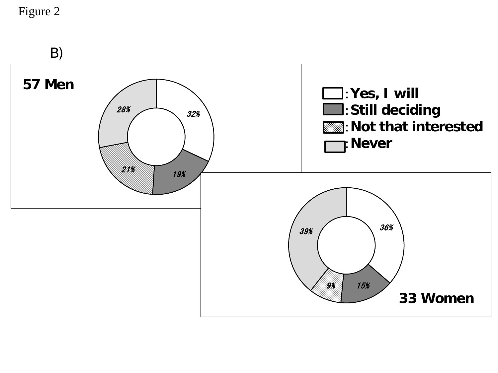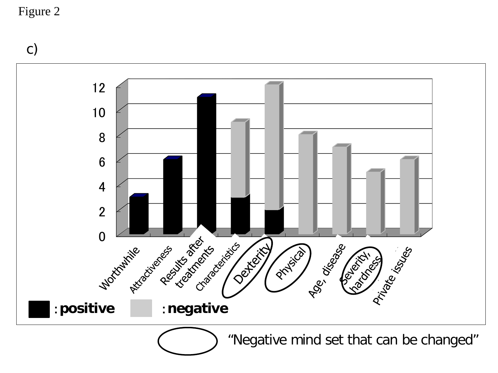c)

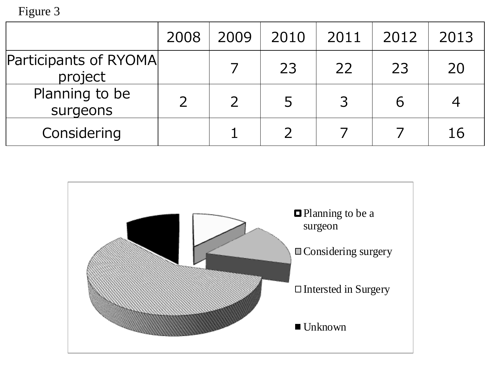|                                  | 2008 | 2009 | 2010 | 2011 | 2012 | 2013 |
|----------------------------------|------|------|------|------|------|------|
| Participants of RYOMA<br>project |      |      | 23   | 22   | 23   | 20   |
| Planning to be<br>surgeons       |      |      | 5    |      |      |      |
| Considering                      |      |      |      |      |      | 16   |